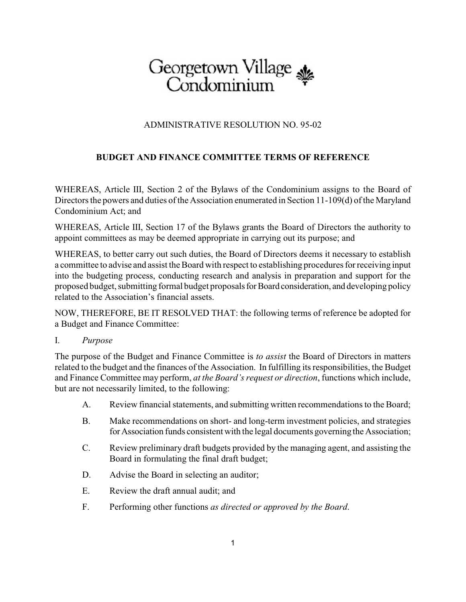## Georgetown Village

## ADMINISTRATIVE RESOLUTION NO. 95-02

## **BUDGET AND FINANCE COMMITTEE TERMS OF REFERENCE**

WHEREAS, Article III, Section 2 of the Bylaws of the Condominium assigns to the Board of Directors the powers and duties of the Association enumerated in Section 11-109(d) of the Maryland Condominium Act; and

WHEREAS, Article III, Section 17 of the Bylaws grants the Board of Directors the authority to appoint committees as may be deemed appropriate in carrying out its purpose; and

WHEREAS, to better carry out such duties, the Board of Directors deems it necessary to establish a committee to advise and assist the Board with respect to establishing procedures for receiving input into the budgeting process, conducting research and analysis in preparation and support for the proposed budget, submitting formal budget proposals for Board consideration, and developing policy related to the Association's financial assets.

NOW, THEREFORE, BE IT RESOLVED THAT: the following terms of reference be adopted for a Budget and Finance Committee:

## I. *Purpose*

The purpose of the Budget and Finance Committee is *to assist* the Board of Directors in matters related to the budget and the finances of the Association. In fulfilling its responsibilities, the Budget and Finance Committee may perform, *at the Board's request or direction*, functions which include, but are not necessarily limited, to the following:

- A. Review financial statements, and submitting written recommendations to the Board;
- B. Make recommendations on short- and long-term investment policies, and strategies forAssociation funds consistent with the legal documents governing the Association;
- C. Review preliminary draft budgets provided by the managing agent, and assisting the Board in formulating the final draft budget;
- D. Advise the Board in selecting an auditor;
- E. Review the draft annual audit; and
- F. Performing other functions *as directed or approved by the Board*.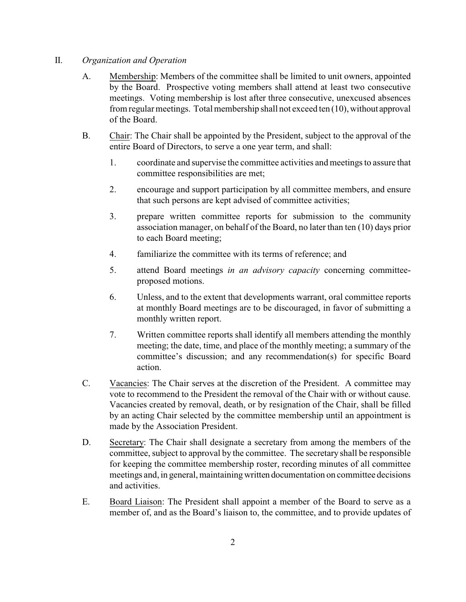- II. *Organization and Operation*
	- A. Membership: Members of the committee shall be limited to unit owners, appointed by the Board. Prospective voting members shall attend at least two consecutive meetings. Voting membership is lost after three consecutive, unexcused absences from regular meetings. Total membership shall not exceed ten (10), without approval of the Board.
	- B. Chair: The Chair shall be appointed by the President, subject to the approval of the entire Board of Directors, to serve a one year term, and shall:
		- 1. coordinate and supervise the committee activities and meetings to assure that committee responsibilities are met;
		- 2. encourage and support participation by all committee members, and ensure that such persons are kept advised of committee activities;
		- 3. prepare written committee reports for submission to the community association manager, on behalf of the Board, no later than ten (10) days prior to each Board meeting;
		- 4. familiarize the committee with its terms of reference; and
		- 5. attend Board meetings *in an advisory capacity* concerning committeeproposed motions.
		- 6. Unless, and to the extent that developments warrant, oral committee reports at monthly Board meetings are to be discouraged, in favor of submitting a monthly written report.
		- 7. Written committee reports shall identify all members attending the monthly meeting; the date, time, and place of the monthly meeting; a summary of the committee's discussion; and any recommendation(s) for specific Board action.
	- C. Vacancies: The Chair serves at the discretion of the President. A committee may vote to recommend to the President the removal of the Chair with or without cause. Vacancies created by removal, death, or by resignation of the Chair, shall be filled by an acting Chair selected by the committee membership until an appointment is made by the Association President.
	- D. Secretary: The Chair shall designate a secretary from among the members of the committee, subject to approval by the committee. The secretary shall be responsible for keeping the committee membership roster, recording minutes of all committee meetings and, in general, maintaining written documentation on committee decisions and activities.
	- E. Board Liaison: The President shall appoint a member of the Board to serve as a member of, and as the Board's liaison to, the committee, and to provide updates of